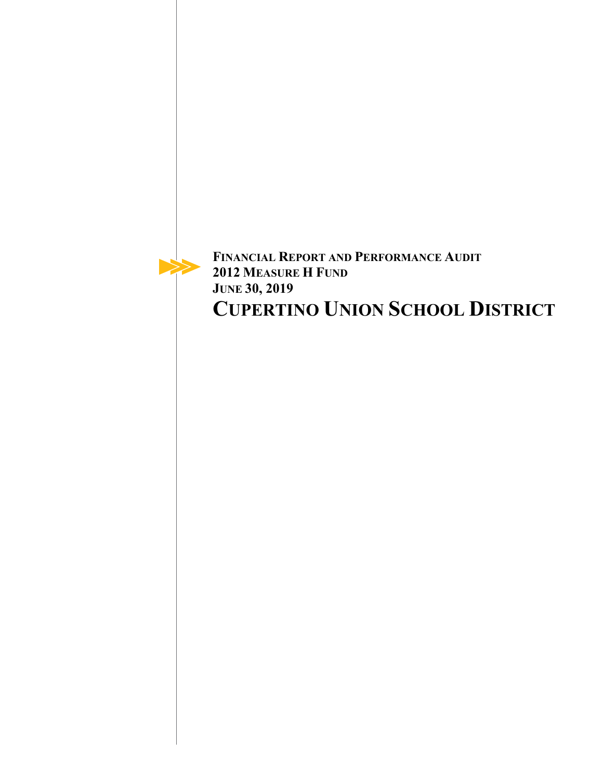

**FINANCIAL REPORT AND PERFORMANCE AUDIT 2012 MEASURE H FUND JUNE 30, 2019 CUPERTINO UNION SCHOOL DISTRICT**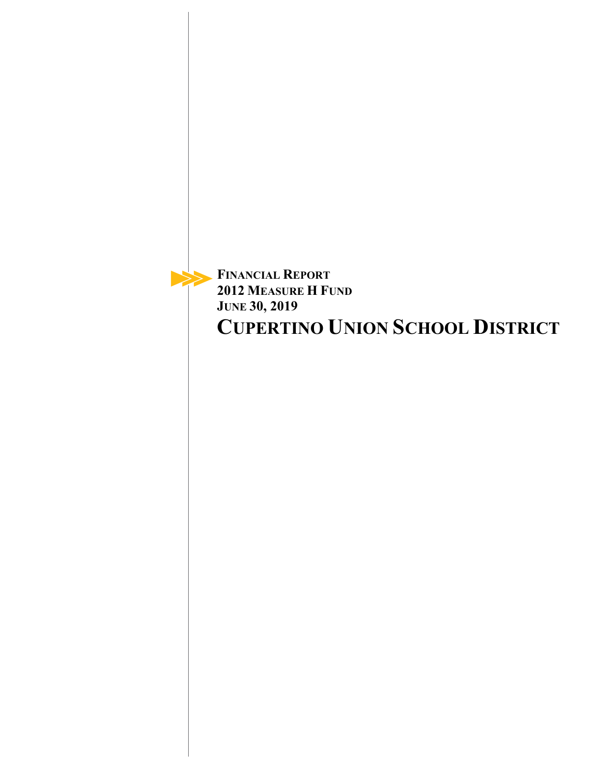**FINANCIAL REPORT 2012 MEASURE H FUND JUNE 30, 2019 CUPERTINO UNION SCHOOL DISTRICT**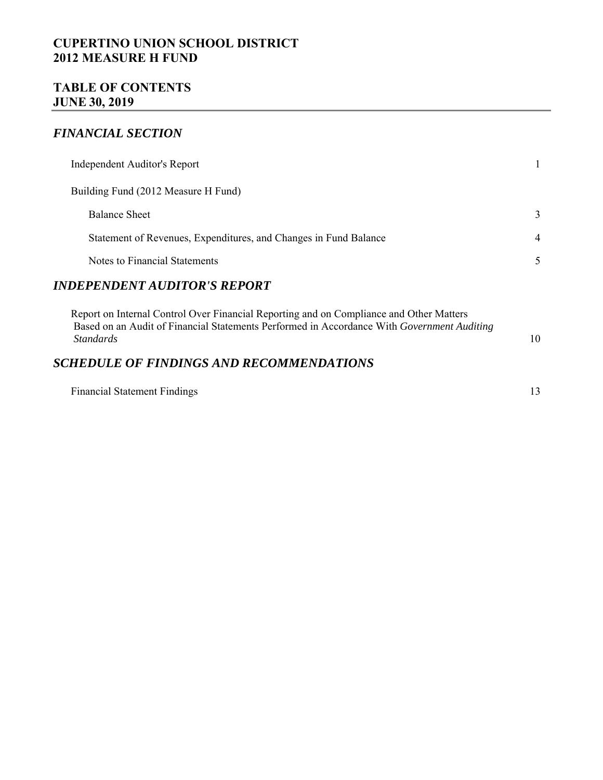## **TABLE OF CONTENTS JUNE 30, 2019**

# *FINANCIAL SECTION*

| <b>Independent Auditor's Report</b>                              |   |
|------------------------------------------------------------------|---|
| Building Fund (2012 Measure H Fund)                              |   |
| <b>Balance Sheet</b>                                             | 3 |
| Statement of Revenues, Expenditures, and Changes in Fund Balance | 4 |
| Notes to Financial Statements                                    |   |
|                                                                  |   |

## *INDEPENDENT AUDITOR'S REPORT*

| Report on Internal Control Over Financial Reporting and on Compliance and Other Matters           |    |
|---------------------------------------------------------------------------------------------------|----|
| Based on an Audit of Financial Statements Performed in Accordance With <i>Government Auditing</i> |    |
| <i>Standards</i>                                                                                  | 10 |

# *SCHEDULE OF FINDINGS AND RECOMMENDATIONS*

Financial Statement Findings 13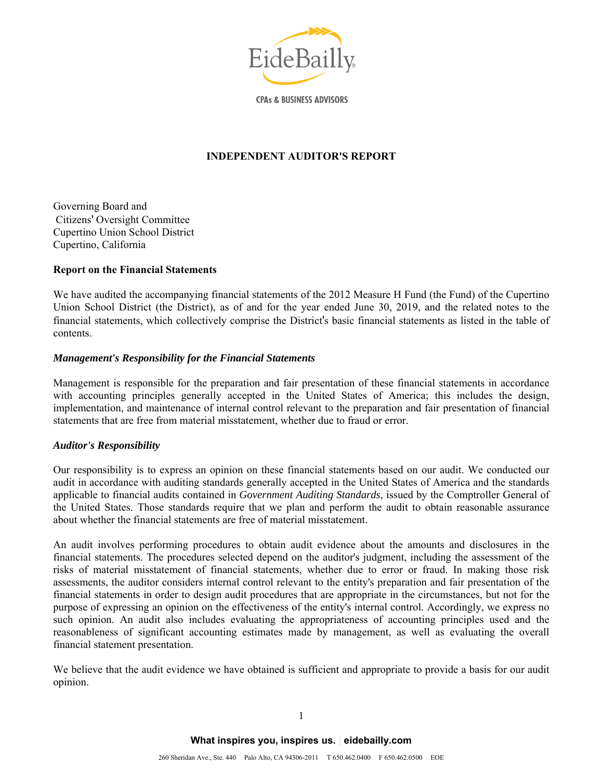

**CPAs & BUSINESS ADVISORS** 

## **INDEPENDENT AUDITOR'S REPORT**

Governing Board and Citizens' Oversight Committee Cupertino Union School District Cupertino, California

#### **Report on the Financial Statements**

We have audited the accompanying financial statements of the 2012 Measure H Fund (the Fund) of the Cupertino Union School District (the District), as of and for the year ended June 30, 2019, and the related notes to the financial statements, which collectively comprise the District's basic financial statements as listed in the table of contents.

#### *Management's Responsibility for the Financial Statements*

Management is responsible for the preparation and fair presentation of these financial statements in accordance with accounting principles generally accepted in the United States of America; this includes the design, implementation, and maintenance of internal control relevant to the preparation and fair presentation of financial statements that are free from material misstatement, whether due to fraud or error.

#### *Auditor's Responsibility*

Our responsibility is to express an opinion on these financial statements based on our audit. We conducted our audit in accordance with auditing standards generally accepted in the United States of America and the standards applicable to financial audits contained in *Government Auditing Standards*, issued by the Comptroller General of the United States. Those standards require that we plan and perform the audit to obtain reasonable assurance about whether the financial statements are free of material misstatement.

An audit involves performing procedures to obtain audit evidence about the amounts and disclosures in the financial statements. The procedures selected depend on the auditor's judgment, including the assessment of the risks of material misstatement of financial statements, whether due to error or fraud. In making those risk assessments, the auditor considers internal control relevant to the entity's preparation and fair presentation of the financial statements in order to design audit procedures that are appropriate in the circumstances, but not for the purpose of expressing an opinion on the effectiveness of the entity's internal control. Accordingly, we express no such opinion. An audit also includes evaluating the appropriateness of accounting principles used and the reasonableness of significant accounting estimates made by management, as well as evaluating the overall financial statement presentation.

We believe that the audit evidence we have obtained is sufficient and appropriate to provide a basis for our audit opinion.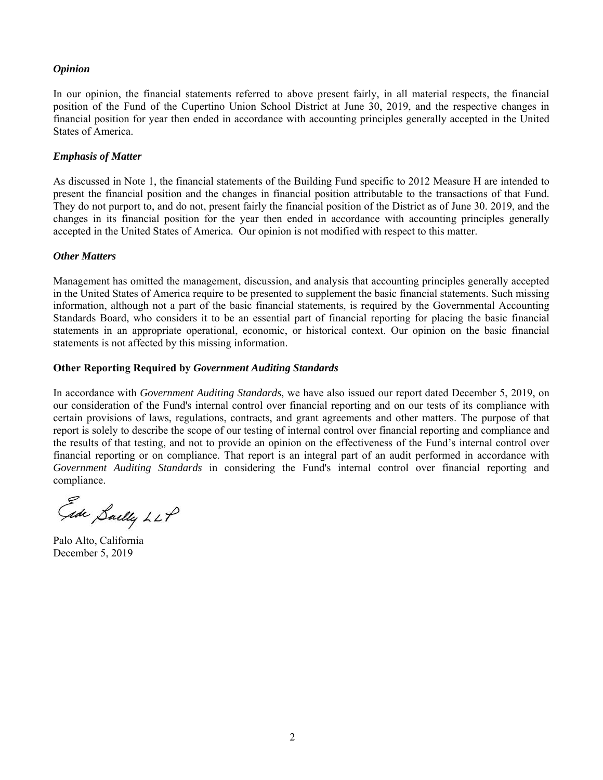#### *Opinion*

In our opinion, the financial statements referred to above present fairly, in all material respects, the financial position of the Fund of the Cupertino Union School District at June 30, 2019, and the respective changes in financial position for year then ended in accordance with accounting principles generally accepted in the United States of America.

#### *Emphasis of Matter*

As discussed in Note 1, the financial statements of the Building Fund specific to 2012 Measure H are intended to present the financial position and the changes in financial position attributable to the transactions of that Fund. They do not purport to, and do not, present fairly the financial position of the District as of June 30. 2019, and the changes in its financial position for the year then ended in accordance with accounting principles generally accepted in the United States of America. Our opinion is not modified with respect to this matter.

#### *Other Matters*

Management has omitted the management, discussion, and analysis that accounting principles generally accepted in the United States of America require to be presented to supplement the basic financial statements. Such missing information, although not a part of the basic financial statements, is required by the Governmental Accounting Standards Board, who considers it to be an essential part of financial reporting for placing the basic financial statements in an appropriate operational, economic, or historical context. Our opinion on the basic financial statements is not affected by this missing information.

### **Other Reporting Required by** *Government Auditing Standards*

In accordance with *Government Auditing Standards*, we have also issued our report dated December 5, 2019, on our consideration of the Fund's internal control over financial reporting and on our tests of its compliance with certain provisions of laws, regulations, contracts, and grant agreements and other matters. The purpose of that report is solely to describe the scope of our testing of internal control over financial reporting and compliance and the results of that testing, and not to provide an opinion on the effectiveness of the Fund's internal control over financial reporting or on compliance. That report is an integral part of an audit performed in accordance with *Government Auditing Standards* in considering the Fund's internal control over financial reporting and compliance.

Ede Sailly LLP

Palo Alto, California December 5, 2019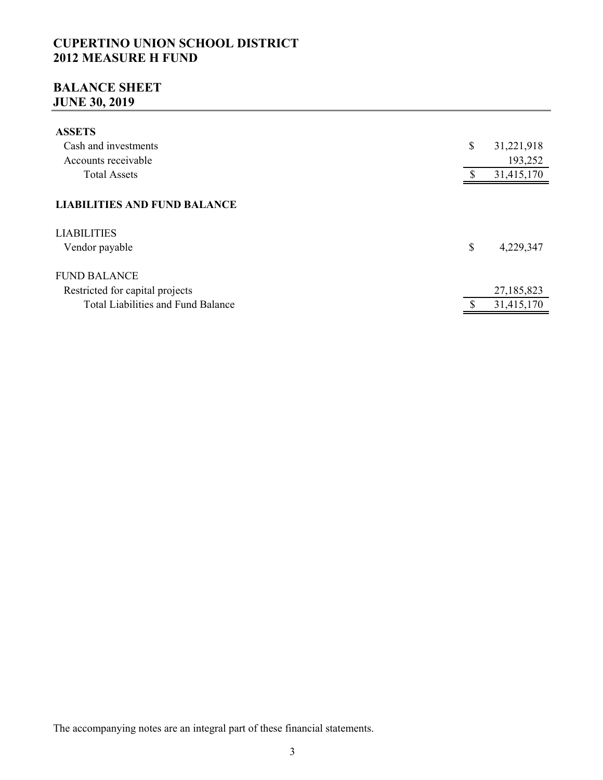# **BALANCE SHEET JUNE 30, 2019**

| <b>ASSETS</b><br>Cash and investments<br>Accounts receivable<br><b>Total Assets</b> | \$<br>31,221,918<br>193,252<br>31,415,170 |
|-------------------------------------------------------------------------------------|-------------------------------------------|
| <b>LIABILITIES AND FUND BALANCE</b>                                                 |                                           |
| <b>LIABILITIES</b>                                                                  |                                           |
| Vendor payable                                                                      | \$<br>4,229,347                           |
| <b>FUND BALANCE</b>                                                                 |                                           |
| Restricted for capital projects                                                     | 27,185,823                                |
| <b>Total Liabilities and Fund Balance</b>                                           | 31,415,170                                |

The accompanying notes are an integral part of these financial statements.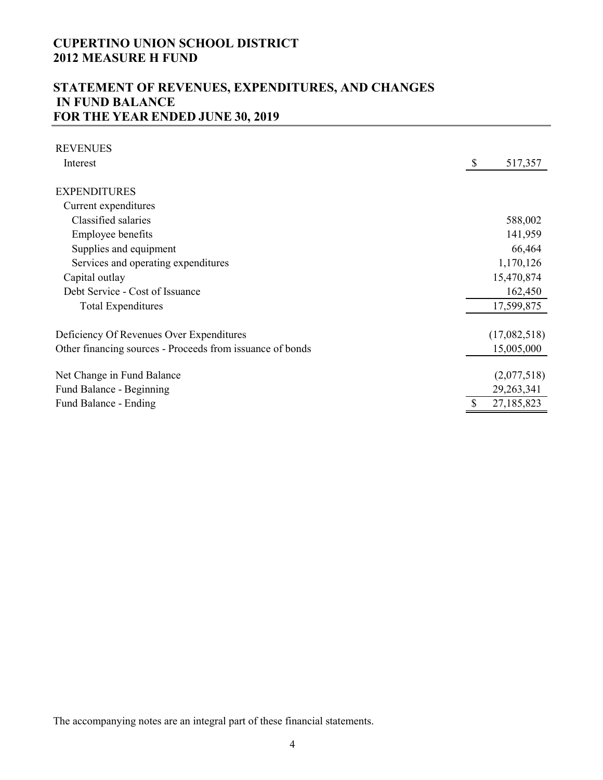## **STATEMENT OF REVENUES, EXPENDITURES, AND CHANGES IN FUND BALANCE FOR THE YEAR ENDED JUNE 30, 2019**

| <b>REVENUES</b>                                           |              |              |
|-----------------------------------------------------------|--------------|--------------|
| Interest                                                  | <sup>S</sup> | 517,357      |
|                                                           |              |              |
| <b>EXPENDITURES</b>                                       |              |              |
| Current expenditures                                      |              |              |
| Classified salaries                                       |              | 588,002      |
| Employee benefits                                         |              | 141,959      |
| Supplies and equipment                                    |              | 66,464       |
| Services and operating expenditures                       |              | 1,170,126    |
| Capital outlay                                            |              | 15,470,874   |
| Debt Service - Cost of Issuance                           |              | 162,450      |
| <b>Total Expenditures</b>                                 |              | 17,599,875   |
| Deficiency Of Revenues Over Expenditures                  |              | (17,082,518) |
| Other financing sources - Proceeds from issuance of bonds |              | 15,005,000   |
| Net Change in Fund Balance                                |              | (2,077,518)  |
| Fund Balance - Beginning                                  |              | 29, 263, 341 |
| Fund Balance - Ending                                     |              | 27,185,823   |

The accompanying notes are an integral part of these financial statements.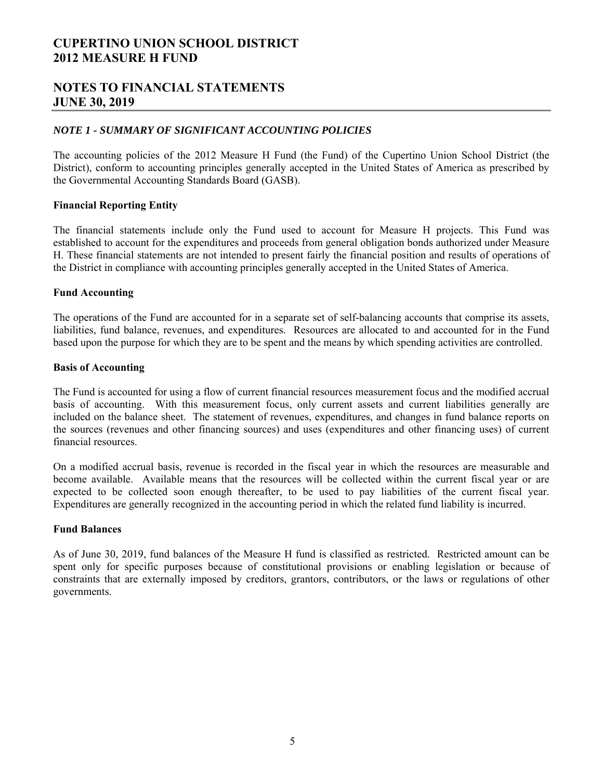## **NOTES TO FINANCIAL STATEMENTS JUNE 30, 2019**

### *NOTE 1 - SUMMARY OF SIGNIFICANT ACCOUNTING POLICIES*

The accounting policies of the 2012 Measure H Fund (the Fund) of the Cupertino Union School District (the District), conform to accounting principles generally accepted in the United States of America as prescribed by the Governmental Accounting Standards Board (GASB).

### **Financial Reporting Entity**

The financial statements include only the Fund used to account for Measure H projects. This Fund was established to account for the expenditures and proceeds from general obligation bonds authorized under Measure H. These financial statements are not intended to present fairly the financial position and results of operations of the District in compliance with accounting principles generally accepted in the United States of America.

#### **Fund Accounting**

The operations of the Fund are accounted for in a separate set of self-balancing accounts that comprise its assets, liabilities, fund balance, revenues, and expenditures. Resources are allocated to and accounted for in the Fund based upon the purpose for which they are to be spent and the means by which spending activities are controlled.

#### **Basis of Accounting**

The Fund is accounted for using a flow of current financial resources measurement focus and the modified accrual basis of accounting. With this measurement focus, only current assets and current liabilities generally are included on the balance sheet. The statement of revenues, expenditures, and changes in fund balance reports on the sources (revenues and other financing sources) and uses (expenditures and other financing uses) of current financial resources.

On a modified accrual basis, revenue is recorded in the fiscal year in which the resources are measurable and become available. Available means that the resources will be collected within the current fiscal year or are expected to be collected soon enough thereafter, to be used to pay liabilities of the current fiscal year. Expenditures are generally recognized in the accounting period in which the related fund liability is incurred.

### **Fund Balances**

As of June 30, 2019, fund balances of the Measure H fund is classified as restricted. Restricted amount can be spent only for specific purposes because of constitutional provisions or enabling legislation or because of constraints that are externally imposed by creditors, grantors, contributors, or the laws or regulations of other governments.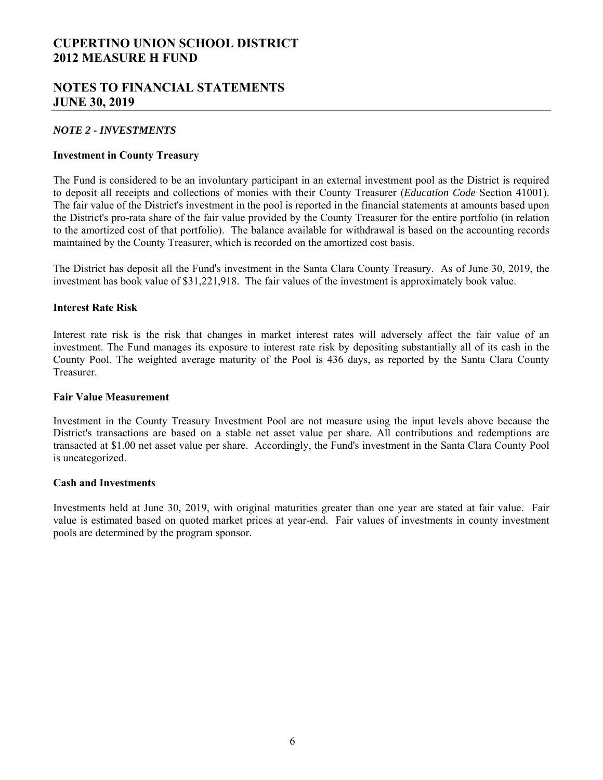## **NOTES TO FINANCIAL STATEMENTS JUNE 30, 2019**

### *NOTE 2 - INVESTMENTS*

### **Investment in County Treasury**

The Fund is considered to be an involuntary participant in an external investment pool as the District is required to deposit all receipts and collections of monies with their County Treasurer (*Education Code* Section 41001). The fair value of the District's investment in the pool is reported in the financial statements at amounts based upon the District's pro-rata share of the fair value provided by the County Treasurer for the entire portfolio (in relation to the amortized cost of that portfolio). The balance available for withdrawal is based on the accounting records maintained by the County Treasurer, which is recorded on the amortized cost basis.

The District has deposit all the Fund's investment in the Santa Clara County Treasury. As of June 30, 2019, the investment has book value of \$31,221,918. The fair values of the investment is approximately book value.

#### **Interest Rate Risk**

Interest rate risk is the risk that changes in market interest rates will adversely affect the fair value of an investment. The Fund manages its exposure to interest rate risk by depositing substantially all of its cash in the County Pool. The weighted average maturity of the Pool is 436 days, as reported by the Santa Clara County Treasurer.

#### **Fair Value Measurement**

Investment in the County Treasury Investment Pool are not measure using the input levels above because the District's transactions are based on a stable net asset value per share. All contributions and redemptions are transacted at \$1.00 net asset value per share. Accordingly, the Fund's investment in the Santa Clara County Pool is uncategorized.

#### **Cash and Investments**

Investments held at June 30, 2019, with original maturities greater than one year are stated at fair value. Fair value is estimated based on quoted market prices at year-end. Fair values of investments in county investment pools are determined by the program sponsor.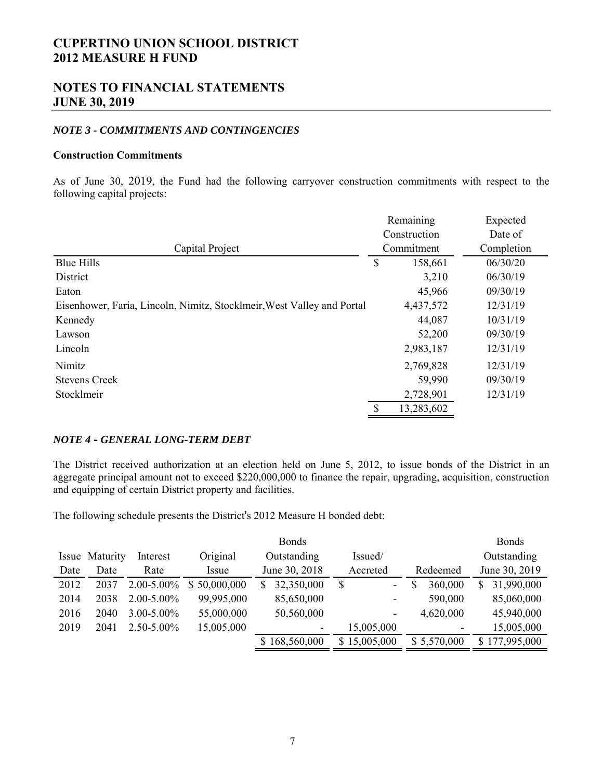## **NOTES TO FINANCIAL STATEMENTS JUNE 30, 2019**

## *NOTE 3 - COMMITMENTS AND CONTINGENCIES*

### **Construction Commitments**

As of June 30, 2019, the Fund had the following carryover construction commitments with respect to the following capital projects:

|                                                                        | Remaining<br>Construction |            | Expected   |
|------------------------------------------------------------------------|---------------------------|------------|------------|
|                                                                        |                           |            | Date of    |
| Capital Project                                                        |                           | Commitment | Completion |
| <b>Blue Hills</b>                                                      | \$                        | 158,661    | 06/30/20   |
| District                                                               |                           | 3,210      | 06/30/19   |
| Eaton                                                                  |                           | 45,966     | 09/30/19   |
| Eisenhower, Faria, Lincoln, Nimitz, Stocklmeir, West Valley and Portal |                           | 4,437,572  | 12/31/19   |
| Kennedy                                                                |                           | 44,087     | 10/31/19   |
| Lawson                                                                 |                           | 52,200     | 09/30/19   |
| Lincoln                                                                |                           | 2,983,187  | 12/31/19   |
| Nimitz                                                                 |                           | 2,769,828  | 12/31/19   |
| <b>Stevens Creek</b>                                                   |                           | 59,990     | 09/30/19   |
| Stocklmeir                                                             |                           | 2,728,901  | 12/31/19   |
|                                                                        |                           | 13,283,602 |            |

### *NOTE 4* **-** *GENERAL LONG-TERM DEBT*

The District received authorization at an election held on June 5, 2012, to issue bonds of the District in an aggregate principal amount not to exceed \$220,000,000 to finance the repair, upgrading, acquisition, construction and equipping of certain District property and facilities.

The following schedule presents the District's 2012 Measure H bonded debt:

|      |                |                 |              | <b>Bonds</b>             |                          |              | <b>Bonds</b>     |
|------|----------------|-----------------|--------------|--------------------------|--------------------------|--------------|------------------|
|      | Issue Maturity | Interest        | Original     | Outstanding              | Issued/                  |              | Outstanding      |
| Date | Date           | Rate            | Issue        | June 30, 2018            | Accreted                 | Redeemed     | June 30, 2019    |
| 2012 | 2037           | $2.00 - 5.00\%$ | \$50,000,000 | 32,350,000               | \$<br>$\sim$             | 360,000<br>S | 31,990,000<br>S. |
| 2014 | 2038           | $2.00 - 5.00\%$ | 99,995,000   | 85,650,000               | $\overline{\phantom{a}}$ | 590,000      | 85,060,000       |
| 2016 | 2040           | $3.00 - 5.00\%$ | 55,000,000   | 50,560,000               | $\overline{\phantom{a}}$ | 4,620,000    | 45,940,000       |
| 2019 | 2041           | $2.50 - 5.00\%$ | 15,005,000   | $\overline{\phantom{a}}$ | 15,005,000               | -            | 15,005,000       |
|      |                |                 |              | \$168,560,000            | \$15,005,000             | \$5,570,000  | \$177,995,000    |
|      |                |                 |              |                          |                          |              |                  |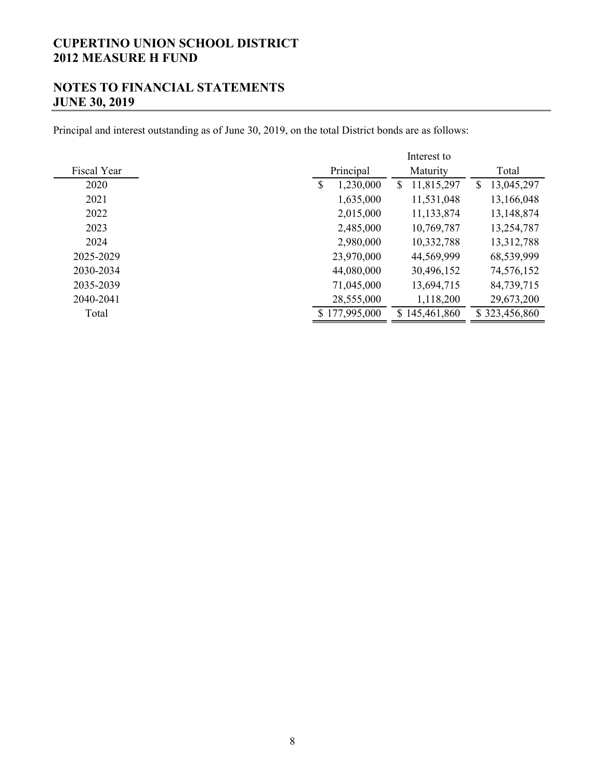# **NOTES TO FINANCIAL STATEMENTS JUNE 30, 2019**

Principal and interest outstanding as of June 30, 2019, on the total District bonds are as follows:

|             |                 | Interest to      |                  |
|-------------|-----------------|------------------|------------------|
| Fiscal Year | Principal       | Maturity         | Total            |
| 2020        | 1,230,000<br>\$ | 11,815,297<br>\$ | 13,045,297<br>\$ |
| 2021        | 1,635,000       | 11,531,048       | 13,166,048       |
| 2022        | 2,015,000       | 11,133,874       | 13,148,874       |
| 2023        | 2,485,000       | 10,769,787       | 13,254,787       |
| 2024        | 2,980,000       | 10,332,788       | 13,312,788       |
| 2025-2029   | 23,970,000      | 44,569,999       | 68,539,999       |
| 2030-2034   | 44,080,000      | 30,496,152       | 74,576,152       |
| 2035-2039   | 71,045,000      | 13,694,715       | 84,739,715       |
| 2040-2041   | 28,555,000      | 1,118,200        | 29,673,200       |
| Total       | \$177,995,000   | \$145,461,860    | \$323,456,860    |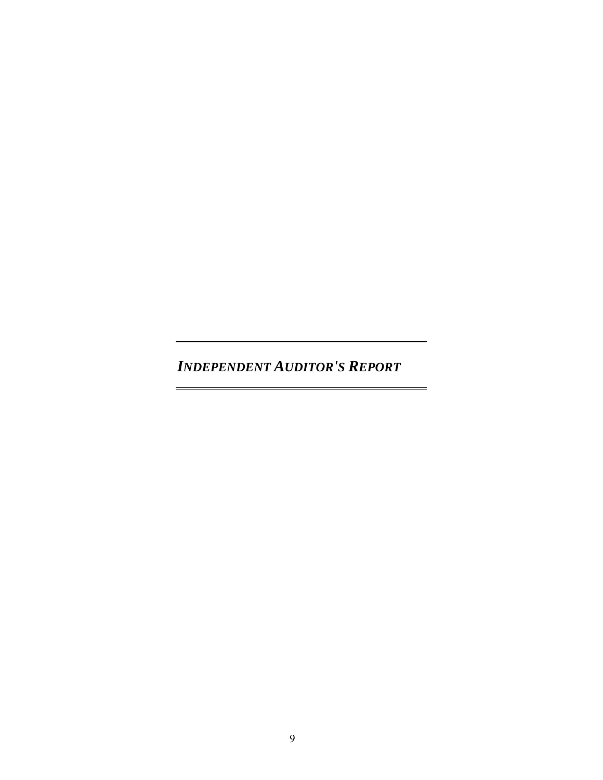*INDEPENDENT AUDITOR'S REPORT*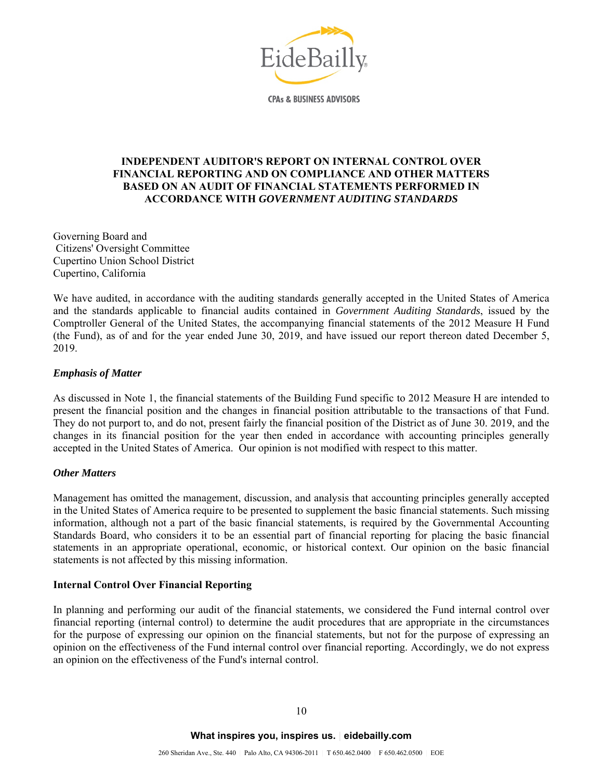

### **INDEPENDENT AUDITOR'S REPORT ON INTERNAL CONTROL OVER FINANCIAL REPORTING AND ON COMPLIANCE AND OTHER MATTERS BASED ON AN AUDIT OF FINANCIAL STATEMENTS PERFORMED IN ACCORDANCE WITH** *GOVERNMENT AUDITING STANDARDS*

Governing Board and Citizens' Oversight Committee Cupertino Union School District Cupertino, California

We have audited, in accordance with the auditing standards generally accepted in the United States of America and the standards applicable to financial audits contained in *Government Auditing Standards*, issued by the Comptroller General of the United States, the accompanying financial statements of the 2012 Measure H Fund (the Fund), as of and for the year ended June 30, 2019, and have issued our report thereon dated December 5, 2019.

#### *Emphasis of Matter*

As discussed in Note 1, the financial statements of the Building Fund specific to 2012 Measure H are intended to present the financial position and the changes in financial position attributable to the transactions of that Fund. They do not purport to, and do not, present fairly the financial position of the District as of June 30. 2019, and the changes in its financial position for the year then ended in accordance with accounting principles generally accepted in the United States of America. Our opinion is not modified with respect to this matter.

#### *Other Matters*

Management has omitted the management, discussion, and analysis that accounting principles generally accepted in the United States of America require to be presented to supplement the basic financial statements. Such missing information, although not a part of the basic financial statements, is required by the Governmental Accounting Standards Board, who considers it to be an essential part of financial reporting for placing the basic financial statements in an appropriate operational, economic, or historical context. Our opinion on the basic financial statements is not affected by this missing information.

### **Internal Control Over Financial Reporting**

In planning and performing our audit of the financial statements, we considered the Fund internal control over financial reporting (internal control) to determine the audit procedures that are appropriate in the circumstances for the purpose of expressing our opinion on the financial statements, but not for the purpose of expressing an opinion on the effectiveness of the Fund internal control over financial reporting. Accordingly, we do not express an opinion on the effectiveness of the Fund's internal control.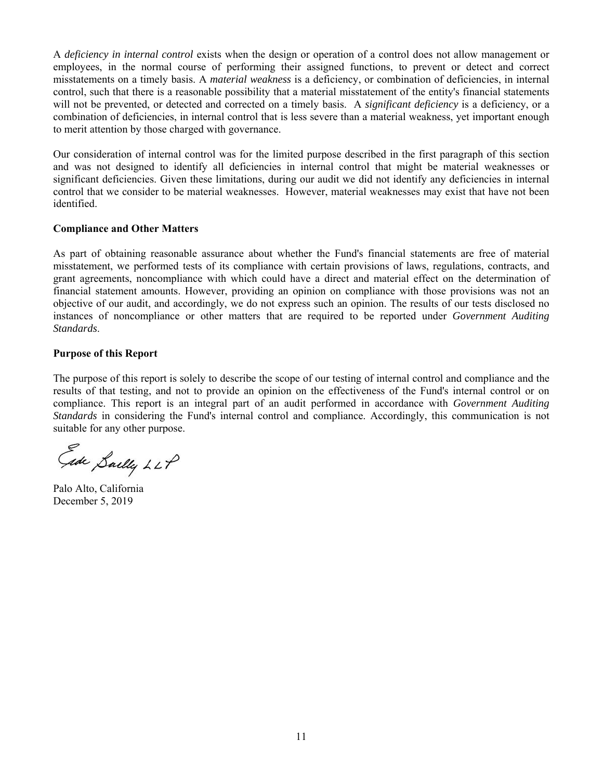A *deficiency in internal control* exists when the design or operation of a control does not allow management or employees, in the normal course of performing their assigned functions, to prevent or detect and correct misstatements on a timely basis. A *material weakness* is a deficiency, or combination of deficiencies, in internal control, such that there is a reasonable possibility that a material misstatement of the entity's financial statements will not be prevented, or detected and corrected on a timely basis. A *significant deficiency* is a deficiency, or a combination of deficiencies, in internal control that is less severe than a material weakness, yet important enough to merit attention by those charged with governance.

Our consideration of internal control was for the limited purpose described in the first paragraph of this section and was not designed to identify all deficiencies in internal control that might be material weaknesses or significant deficiencies. Given these limitations, during our audit we did not identify any deficiencies in internal control that we consider to be material weaknesses. However, material weaknesses may exist that have not been identified.

#### **Compliance and Other Matters**

As part of obtaining reasonable assurance about whether the Fund's financial statements are free of material misstatement, we performed tests of its compliance with certain provisions of laws, regulations, contracts, and grant agreements, noncompliance with which could have a direct and material effect on the determination of financial statement amounts. However, providing an opinion on compliance with those provisions was not an objective of our audit, and accordingly, we do not express such an opinion. The results of our tests disclosed no instances of noncompliance or other matters that are required to be reported under *Government Auditing Standards*.

#### **Purpose of this Report**

The purpose of this report is solely to describe the scope of our testing of internal control and compliance and the results of that testing, and not to provide an opinion on the effectiveness of the Fund's internal control or on compliance. This report is an integral part of an audit performed in accordance with *Government Auditing Standards* in considering the Fund's internal control and compliance. Accordingly, this communication is not suitable for any other purpose.

Ede Sailly LLP

Palo Alto, California December 5, 2019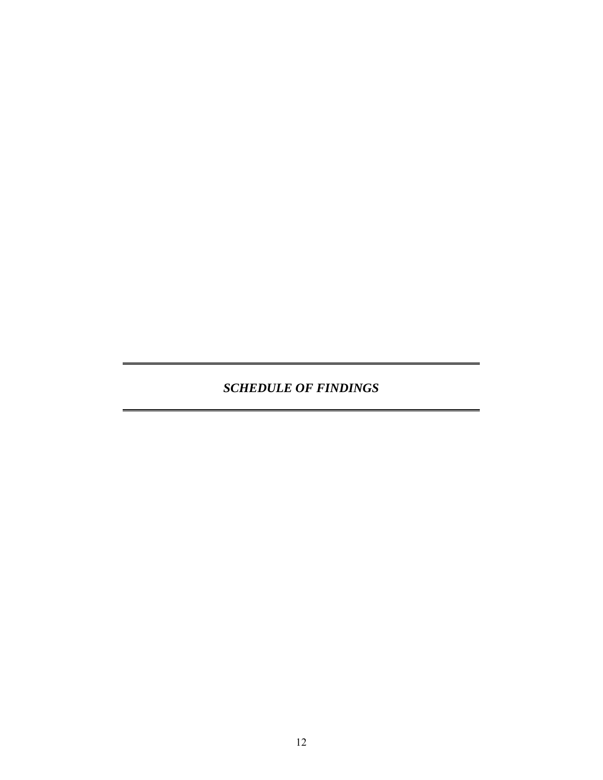*SCHEDULE OF FINDINGS*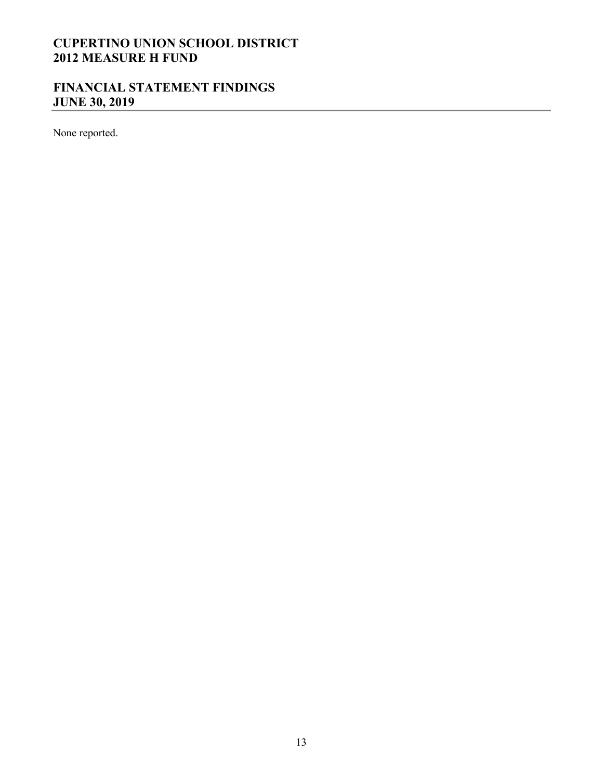## **FINANCIAL STATEMENT FINDINGS JUNE 30, 2019**

None reported.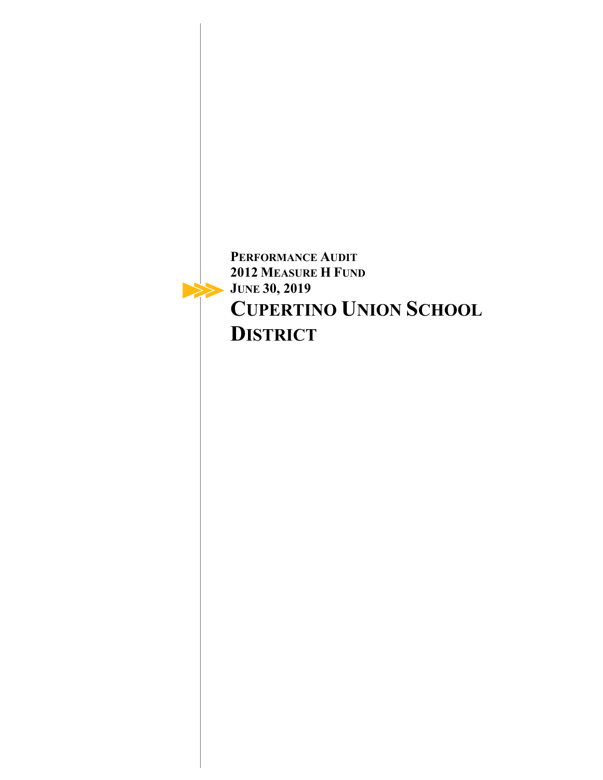**PERFORMANCE AUDIT 2012 MEASURE H FUND SPENDING 30, 2019 CUPERTINO UNION SCHOOL DISTRICT**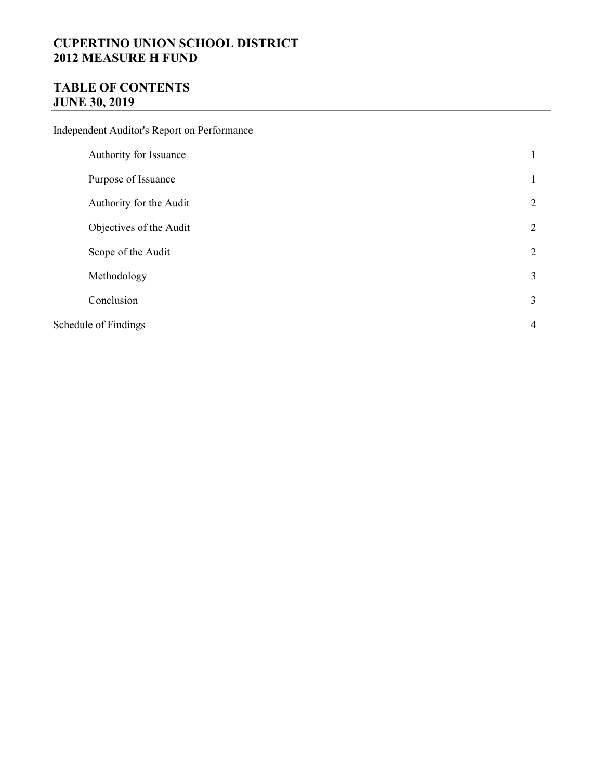# **TABLE OF CONTENTS JUNE 30, 2019**

## Independent Auditor's Report on Performance

| Authority for Issuance  | 1 |
|-------------------------|---|
| Purpose of Issuance     | 1 |
| Authority for the Audit | 2 |
| Objectives of the Audit | 2 |
| Scope of the Audit      | 2 |
| Methodology             | 3 |
| Conclusion              | 3 |
| Schedule of Findings    | 4 |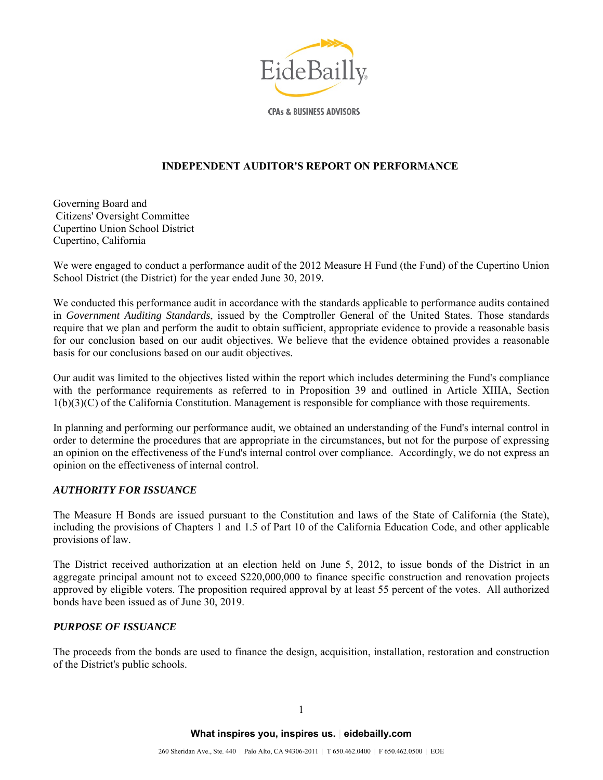

**CPAs & BUSINESS ADVISORS** 

## **INDEPENDENT AUDITOR'S REPORT ON PERFORMANCE**

Governing Board and Citizens' Oversight Committee Cupertino Union School District Cupertino, California

We were engaged to conduct a performance audit of the 2012 Measure H Fund (the Fund) of the Cupertino Union School District (the District) for the year ended June 30, 2019.

We conducted this performance audit in accordance with the standards applicable to performance audits contained in *Government Auditing Standards*, issued by the Comptroller General of the United States. Those standards require that we plan and perform the audit to obtain sufficient, appropriate evidence to provide a reasonable basis for our conclusion based on our audit objectives. We believe that the evidence obtained provides a reasonable basis for our conclusions based on our audit objectives.

Our audit was limited to the objectives listed within the report which includes determining the Fund's compliance with the performance requirements as referred to in Proposition 39 and outlined in Article XIIIA, Section 1(b)(3)(C) of the California Constitution. Management is responsible for compliance with those requirements.

In planning and performing our performance audit, we obtained an understanding of the Fund's internal control in order to determine the procedures that are appropriate in the circumstances, but not for the purpose of expressing an opinion on the effectiveness of the Fund's internal control over compliance. Accordingly, we do not express an opinion on the effectiveness of internal control.

### *AUTHORITY FOR ISSUANCE*

The Measure H Bonds are issued pursuant to the Constitution and laws of the State of California (the State), including the provisions of Chapters 1 and 1.5 of Part 10 of the California Education Code, and other applicable provisions of law.

The District received authorization at an election held on June 5, 2012, to issue bonds of the District in an aggregate principal amount not to exceed \$220,000,000 to finance specific construction and renovation projects approved by eligible voters. The proposition required approval by at least 55 percent of the votes. All authorized bonds have been issued as of June 30, 2019.

### *PURPOSE OF ISSUANCE*

The proceeds from the bonds are used to finance the design, acquisition, installation, restoration and construction of the District's public schools.

**What inspires you, inspires us. | eidebailly.com**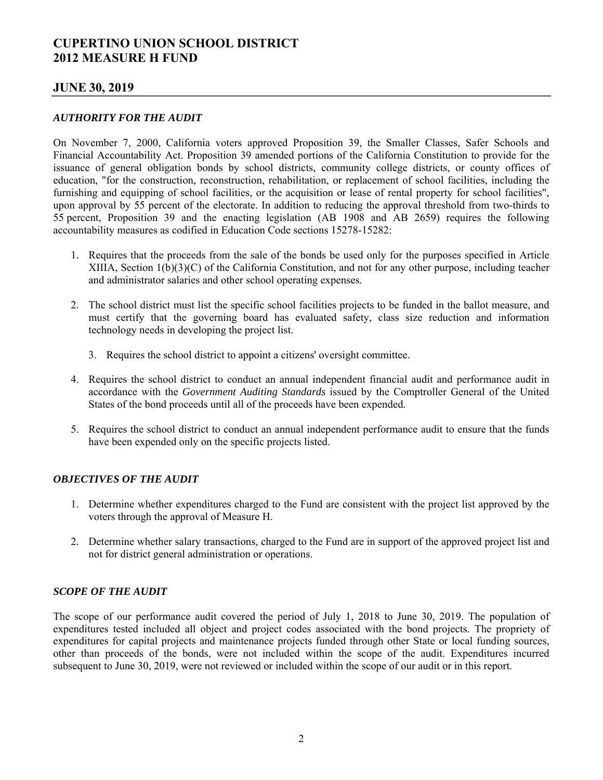## **JUNE 30, 2019**

### *AUTHORITY FOR THE AUDIT*

On November 7, 2000, California voters approved Proposition 39, the Smaller Classes, Safer Schools and Financial Accountability Act. Proposition 39 amended portions of the California Constitution to provide for the issuance of general obligation bonds by school districts, community college districts, or county offices of education, "for the construction, reconstruction, rehabilitation, or replacement of school facilities, including the furnishing and equipping of school facilities, or the acquisition or lease of rental property for school facilities", upon approval by 55 percent of the electorate. In addition to reducing the approval threshold from two-thirds to 55 percent, Proposition 39 and the enacting legislation (AB 1908 and AB 2659) requires the following accountability measures as codified in Education Code sections 15278-15282:

- 1. Requires that the proceeds from the sale of the bonds be used only for the purposes specified in Article XIIIA, Section 1(b)(3)(C) of the California Constitution, and not for any other purpose, including teacher and administrator salaries and other school operating expenses.
- 2. The school district must list the specific school facilities projects to be funded in the ballot measure, and must certify that the governing board has evaluated safety, class size reduction and information technology needs in developing the project list.
	- 3. Requires the school district to appoint a citizens' oversight committee.
- 4. Requires the school district to conduct an annual independent financial audit and performance audit in accordance with the *Government Auditing Standards* issued by the Comptroller General of the United States of the bond proceeds until all of the proceeds have been expended.
- 5. Requires the school district to conduct an annual independent performance audit to ensure that the funds have been expended only on the specific projects listed.

### *OBJECTIVES OF THE AUDIT*

- 1. Determine whether expenditures charged to the Fund are consistent with the project list approved by the voters through the approval of Measure H.
- 2. Determine whether salary transactions, charged to the Fund are in support of the approved project list and not for district general administration or operations.

### *SCOPE OF THE AUDIT*

The scope of our performance audit covered the period of July 1, 2018 to June 30, 2019. The population of expenditures tested included all object and project codes associated with the bond projects. The propriety of expenditures for capital projects and maintenance projects funded through other State or local funding sources, other than proceeds of the bonds, were not included within the scope of the audit. Expenditures incurred subsequent to June 30, 2019, were not reviewed or included within the scope of our audit or in this report.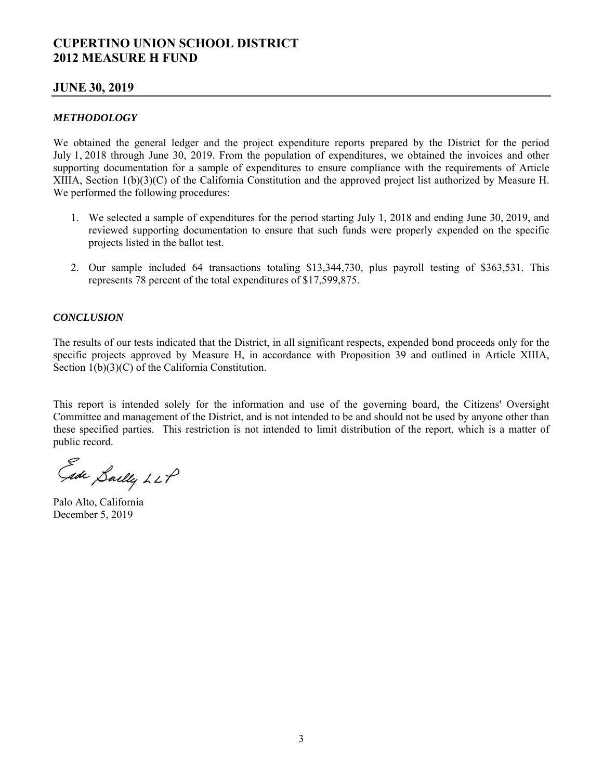## **JUNE 30, 2019**

#### *METHODOLOGY*

We obtained the general ledger and the project expenditure reports prepared by the District for the period July 1, 2018 through June 30, 2019. From the population of expenditures, we obtained the invoices and other supporting documentation for a sample of expenditures to ensure compliance with the requirements of Article XIIIA, Section 1(b)(3)(C) of the California Constitution and the approved project list authorized by Measure H. We performed the following procedures:

- 1. We selected a sample of expenditures for the period starting July 1, 2018 and ending June 30, 2019, and reviewed supporting documentation to ensure that such funds were properly expended on the specific projects listed in the ballot test.
- 2. Our sample included 64 transactions totaling \$13,344,730, plus payroll testing of \$363,531. This represents 78 percent of the total expenditures of \$17,599,875.

#### *CONCLUSION*

The results of our tests indicated that the District, in all significant respects, expended bond proceeds only for the specific projects approved by Measure H, in accordance with Proposition 39 and outlined in Article XIIIA, Section 1(b)(3)(C) of the California Constitution.

This report is intended solely for the information and use of the governing board, the Citizens' Oversight Committee and management of the District, and is not intended to be and should not be used by anyone other than these specified parties. This restriction is not intended to limit distribution of the report, which is a matter of public record.

Ede Sailly LLP

Palo Alto, California December 5, 2019